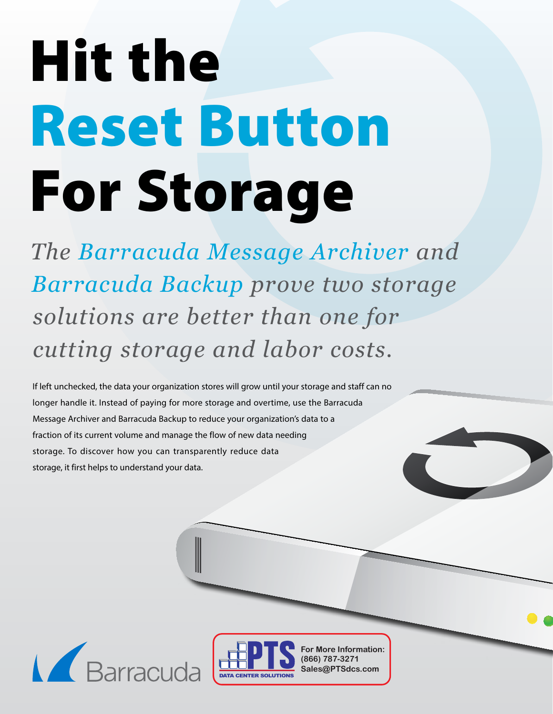# Hit the Reset Button For Storage

*The Barracuda Message Archiver and Barracuda Backup prove two storage solutions are better than one for cutting storage and labor costs.*

If left unchecked, the data your organization stores will grow until your storage and staff can no longer handle it. Instead of paying for more storage and overtime, use the Barracuda Message Archiver and Barracuda Backup to reduce your organization's data to a fraction of its current volume and manage the flow of new data needing storage. To discover how you can transparently reduce data storage, it first helps to understand your data.





**For More Information: (866) 787-3271 Sales@PTSdcs.com**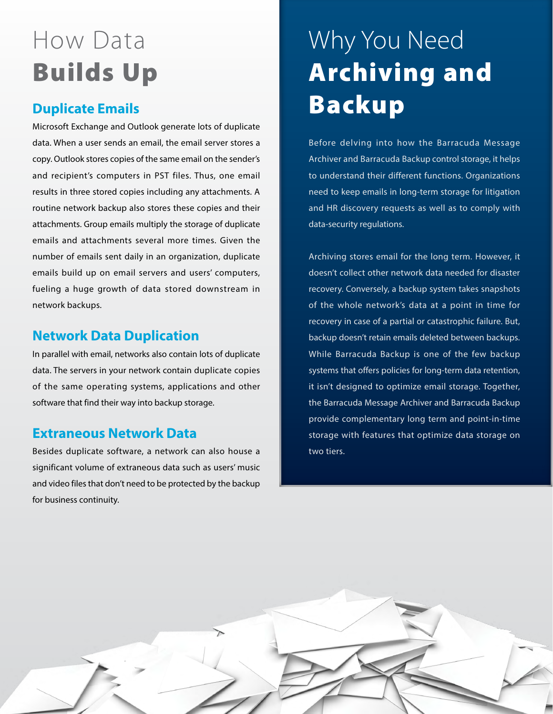## How Data Builds Up

#### **Duplicate Emails**

Microsoft Exchange and Outlook generate lots of duplicate data. When a user sends an email, the email server stores a copy. Outlook stores copies of the same email on the sender's and recipient's computers in PST files. Thus, one email results in three stored copies including any attachments. A routine network backup also stores these copies and their attachments. Group emails multiply the storage of duplicate emails and attachments several more times. Given the number of emails sent daily in an organization, duplicate emails build up on email servers and users' computers, fueling a huge growth of data stored downstream in network backups.

#### **Network Data Duplication**

In parallel with email, networks also contain lots of duplicate data. The servers in your network contain duplicate copies of the same operating systems, applications and other software that find their way into backup storage.

#### **Extraneous Network Data**

Besides duplicate software, a network can also house a significant volume of extraneous data such as users' music and video files that don't need to be protected by the backup for business continuity.

## Why You Need Archiving and Backup

Before delving into how the Barracuda Message Archiver and Barracuda Backup control storage, it helps to understand their different functions. Organizations need to keep emails in long-term storage for litigation and HR discovery requests as well as to comply with data-security regulations.

Archiving stores email for the long term. However, it doesn't collect other network data needed for disaster recovery. Conversely, a backup system takes snapshots of the whole network's data at a point in time for recovery in case of a partial or catastrophic failure. But, backup doesn't retain emails deleted between backups. While Barracuda Backup is one of the few backup systems that offers policies for long-term data retention, it isn't designed to optimize email storage. Together, the Barracuda Message Archiver and Barracuda Backup provide complementary long term and point-in-time storage with features that optimize data storage on two tiers.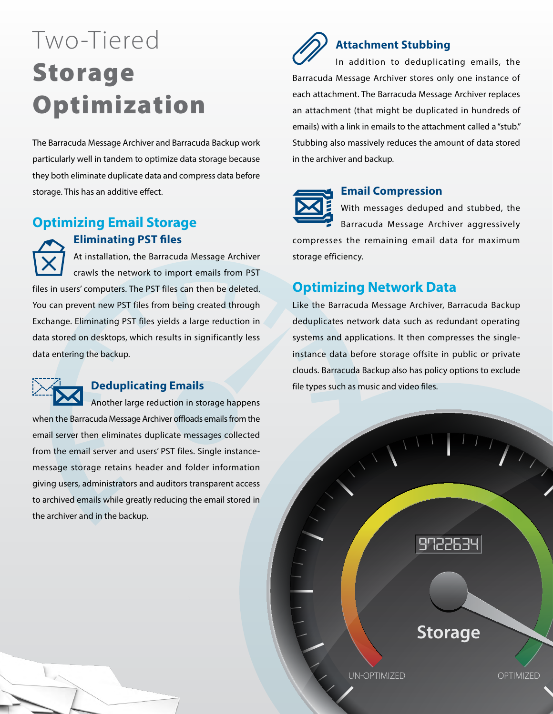## Two-Tiered Storage Optimization

The Barracuda Message Archiver and Barracuda Backup work particularly well in tandem to optimize data storage because they both eliminate duplicate data and compress data before storage. This has an additive effect.

#### **Optimizing Email Storage**

#### **Eliminating PST files**

At installation, the Barracuda Message Archiver crawls the network to import emails from PST files in users' computers. The PST files can then be deleted. You can prevent new PST files from being created through Exchange. Eliminating PST files yields a large reduction in data stored on desktops, which results in significantly less data entering the backup.



#### **Deduplicating Emails**

Another large reduction in storage happens when the Barracuda Message Archiver offloads emails from the email server then eliminates duplicate messages collected from the email server and users' PST files. Single instancemessage storage retains header and folder information giving users, administrators and auditors transparent access to archived emails while greatly reducing the email stored in the archiver and in the backup.

#### **Attachment Stubbing**

In addition to deduplicating emails, the Barracuda Message Archiver stores only one instance of each attachment. The Barracuda Message Archiver replaces an attachment (that might be duplicated in hundreds of emails) with a link in emails to the attachment called a "stub." Stubbing also massively reduces the amount of data stored in the archiver and backup.



#### **Email Compression**

With messages deduped and stubbed, the Barracuda Message Archiver aggressively compresses the remaining email data for maximum storage efficiency.

#### **Optimizing Network Data**

Like the Barracuda Message Archiver, Barracuda Backup deduplicates network data such as redundant operating systems and applications. It then compresses the singleinstance data before storage offsite in public or private clouds. Barracuda Backup also has policy options to exclude file types such as music and video files.

UN-OPTIMIZED OPTIMIZED

**Storage**